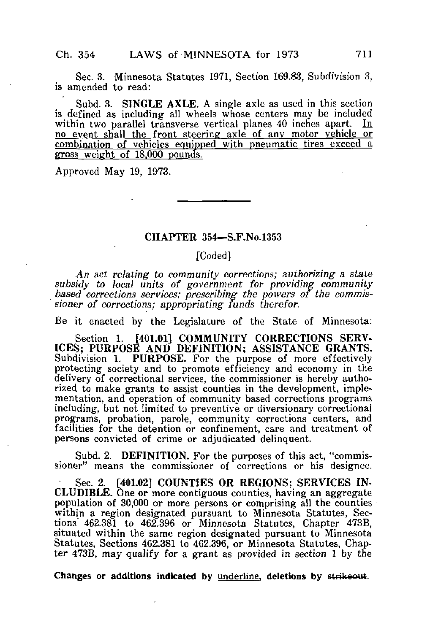Sec. 3. Minnesota Statutes 1971, Section 169.83, Subdivision 3, is amended to read:

Subd. 3. SINGLE AXLE. A single axle as used in this section is defined as including all wheels whose centers may be included within two parallel transverse vertical planes 40 inches apart. no event shall the front steering axle of any motor vehicle or combination of vehicles equipped with pneumatic tires exceed a gross weight of 18.QOO pounds.

Approved May 19, 1973.

## CHAPTER 354—S.F.No.1353

## [Coded]

An act relating to community corrections; authorizing a state subsidy to local units of government for providing community based corrections services; prescribing the powers of the commissioner of corrections; appropriating funds therefor.

Be it enacted by the Legislature of the State of Minnesota:

Section 1. [401.01] COMMUNITY CORRECTIONS SERV-ICES; PURPOSE AND DEFINITION; ASSISTANCE GRANTS. Subdivision 1. PURPOSE. For the purpose of more effectively protecting society and to promote efficiency and economy in the delivery of correctional services, the commissioner is hereby authorized to make grants to assist counties in the development, implementation, and operation of community based corrections programs including, but not limited to preventive or diversionary correctional programs, probation, parole, community corrections centers, and facilities for the detention or confinement, care and treatment of persons convicted of crime or adjudicated delinquent.

Subd. 2. DEFINITION. For the purposes of this act, "commissioner" means the commissioner of corrections or his designee.

Sec. 2. [401.02] COUNTIES OR REGIONS; SERVICES IN-CLUDIBLE. One or more contiguous counties, having an aggregate population of 30,000 or more persons or comprising all the counties within a region designated pursuant to Minnesota Statutes, Sections" 462.381 to 462.396 or Minnesota Statutes, Chapter 473B, situated within the same region designated pursuant to Minnesota Statutes, Sections 462.381 to 462.396, or Minnesota Statutes, Chapter 473B, may qualify for a grant as provided in section 1 by the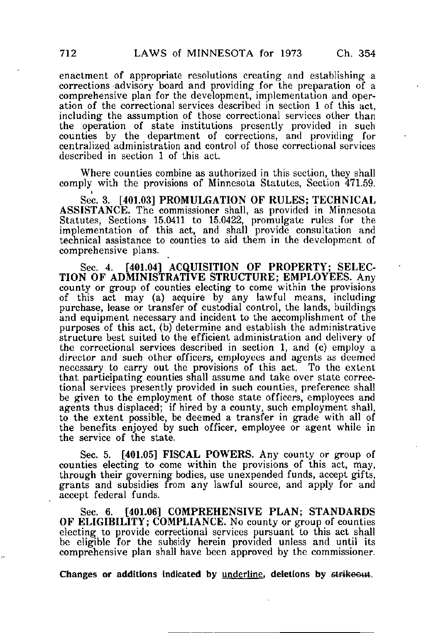enactment of appropriate resolutions creating and establishing a corrections advisory board and providing for the preparation of a comprehensive plan for the development, implementation and operation of the correctional services described in section 1 of this act, including the assumption of those correctional services other than the operation of state institutions presently provided in such counties by the department of corrections, and providing for centralized administration and control of those correctional services described in section 1 of this act.

Where counties combine as authorized in this section, they shall comply with the provisions of Minnesota Statutes, Section 471.59.

Sec. 3. [401.03] PROMULGATION OF RULES: TECHNICAL ASSISTANCE. The commissioner shall, as provided in Minnesota Statutes, Sections 15.0411 to 15.0422, promulgate rules for the implementation of this act, and shall provide consultation and technical assistance to counties to aid them in the development of comprehensive plans.

Sec. 4. [401.04] ACQUISITION OF PROPERTY; SELEC-TION OF ADMINISTRATIVE STRUCTURE; EMPLOYEES. Any county or group of counties electing to come within the provisions of this act may (a) acquire by any lawful means, including purchase, lease or transfer of custodial control, the lands, buildings and equipment necessary and incident to the accomplishment of the purposes of this act, (b) determine and establish the administrative structure best suited to the efficient administration and delivery of the correctional services described in section 1, and (c) employ a director and such other officers, employees and agents as deemed necessary to carry out the provisions of this act. To the extent that participating counties shall assume and take over state correctional services presently provided in such counties, preference shall be given to the employment of those state officers, employees and agents thus displaced; if hired by a county, such employment shall, to the extent possible, be deemed a transfer in grade with all of the benefits enjoyed by such officer, employee or agent while in the service of the state.

Sec. 5. [401.05] FISCAL POWERS. Any county or group of counties electing to come within the provisions of this act, may, through their governing bodies, use unexpended funds, accept gifts, grants and subsidies from any lawful source, and apply for and accept federal funds.

Sec. 6. [401.06] COMPREHENSIVE PLAN; STANDARDS OF ELIGIBILITY; COMPLIANCE. No county or group of counties electing to provide correctional services pursuant to this act shall be eligible for the subsidy herein provided unless and until its comprehensive plan shall have been approved by the commissioner.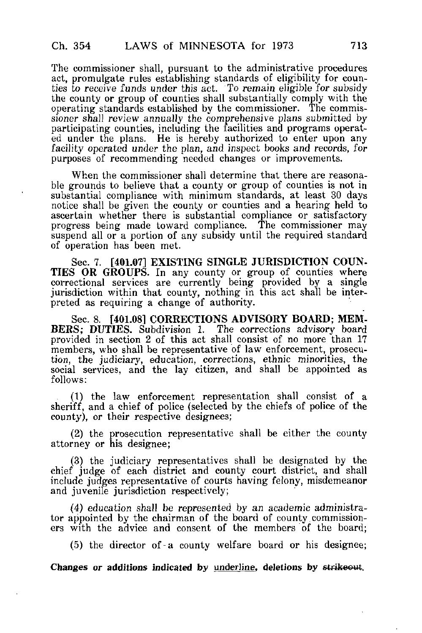The commissioner shall, pursuant to the administrative procedures act, promulgate rules establishing standards of eligibility for counties to receive funds under this act. To remain eligible for subsidy the county or group of counties shall substantially comply with the operating standards established by the commissioner. The commissioner shall review annually the comprehensive plans submitted by participating counties, including the facilities and programs operated under the plans. He is hereby authorized to enter upon any facility operated under the plan, and inspect books and records, for purposes of recommending needed changes or improvements.

When the commissioner shall determine that there are reasonable grounds to believe that a county or group of counties is not in substantial compliance with minimum standards, at least 30 days notice shall be given the county or counties and a hearing held to ascertain whether there is substantial compliance or satisfactory progress being made toward compliance. The commissioner may suspend all or a portion of any subsidy until the required standard of operation has been met.

Sec. 7. [401.07] EXISTING SINGLE JURISDICTION COUN-TIES OR GROUPS. In any county or group of counties where correctional services are currently being provided by a single jurisdiction within that county, nothing in this act shall be interpreted as requiring a change of authority.

Sec. 8. [401.08] CORRECTIONS ADVISORY BOARD; MEM-BERS; DUTIES. Subdivision 1. The corrections advisory board provided in section 2 of this act shall consist of no more than 17 members, who shall be representative of law enforcement, prosecution, the judiciary, education, corrections, ethnic minorities, the social services, and the lay citizen, and shall be appointed as follows:

(1) the law enforcement representation shall consist of a sheriff, and a chief of police {selected by the chiefs of police of the county), or their respective designees;

(2) the prosecution representative shall be either the county attorney or his designee;

(3) the judiciary representatives shall be designated by the chief judge of each district and county court district, and shall include judges representative of courts having felony, misdemeanor and juvenile jurisdiction respectively;

(4) education shall be represented by an academic administrator appointed by the chairman of the board of county.commissioners with the advice and consent of the members of the board;

(5) the director of-a county welfare board or his designee;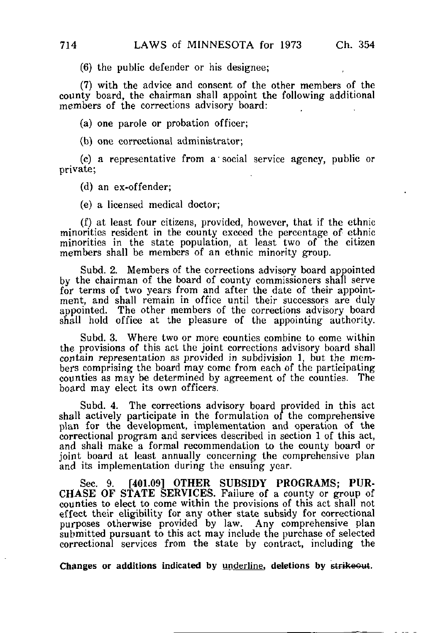(6) the public defender or his designee;

(7) with the advice and consent of the other members of the county board, the chairman shall appoint the following additional members of the corrections advisory board:

(a) one parole or probation officer;

(b) one correctional administrator;

(c) a representative from a • social service agency, public or private;

(d) an ex-offender;

(e) a licensed medical doctor;

(f) at least four citizens, provided, however, that if the ethnic minorities resident in the county exceed the percentage of ethnic minorities in the state population, at least two of the citizen members shall be members of an ethnic minority group.

Subd. 2. Members of the corrections advisory board appointed by the chairman of the board of county commissioners shall serve for terms of two years from and after the date of their appointment, and shall remain in office until their successors are duly appointed. The other members of the corrections advisory board shall hold office at the pleasure of the appointing authority.

Subd. 3. Where two or more counties combine to come within the provisions of this act the joint corrections advisory board shall contain representation as provided in subdivision 1, but the members comprising the board may come from each of the participating counties as may be determined by agreement of the counties. The board may elect its own officers.

Subd. 4. The corrections advisory board provided in this act shall actively participate in the formulation of the comprehensive plan for the development, implementation and operation of the correctional program and services described in section 1 of this act, and shall make a formal recommendation to the county board or joint board at least annually concerning the comprehensive plan and its implementation during the ensuing year.

Sec. 9. [401.09] OTHER SUBSIDY PROGRAMS; PUR-CHASE OF STATE SERVICES. Failure of a county or group of counties to elect to come within the provisions of this act shall not effect their eligibility for any other state subsidy for correctional purposes otherwise provided by law. Any comprehensive plan submitted pursuant to this act may include the purchase of selected correctional services from the state by contract, including the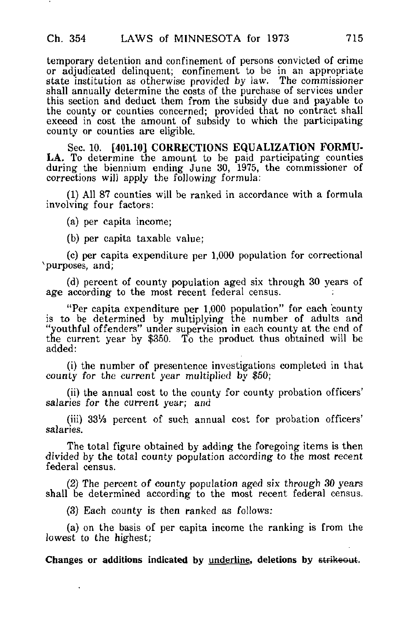temporary detention and confinement of persons convicted of crime or adjudicated delinquent; confinement to be in an appropriate state institution as otherwise provided by law. The commissioner shall annually determine the costs of the purchase of services under this section and deduct them from the subsidy due and payable to the county or counties concerned; provided that no contract shall exceed in cost the amount of subsidy to which the participating county or counties are eligible.

Sec. 10. [401.10] CORRECTIONS EQUALIZATION FORMU-LA, To determine the amount to be paid participating counties during the biennium ending June 30, 1975, the commissioner of corrections will apply the following formula:

(1) All 87 counties will be ranked in accordance with a formula involving four factors:

(a) per capita income;

(b) per capita taxable value;

(c) per capita expenditure per 1,000 population for correctional purposes, and;

(d) percent of county population aged six through 30 years of age according to the most recent federal census.

"Per capita expenditure per 1,000 population" for each county is to be determined by multiplying the number of adults and "youthful offenders" under supervision in each county at the end of the current year by \$350. To the product thus obtained will be added:

(1) the number of presentence investigations completed in that county for the current year multiplied by \$50;

(ii) the annual cost to the county for county probation officers' salaries for the current year; and

(iii) 33Vs percent of such annual cost for probation officers' salaries.

The total figure obtained by adding the foregoing items is then divided by the total county population according to the most recent federal census.

(2) The percent of county population aged six through 30 years shall be determined according to the most recent federal census.

(3) Each county is then ranked as follows:

(a) on the basis of per capita income the ranking is from the lowest to the highest;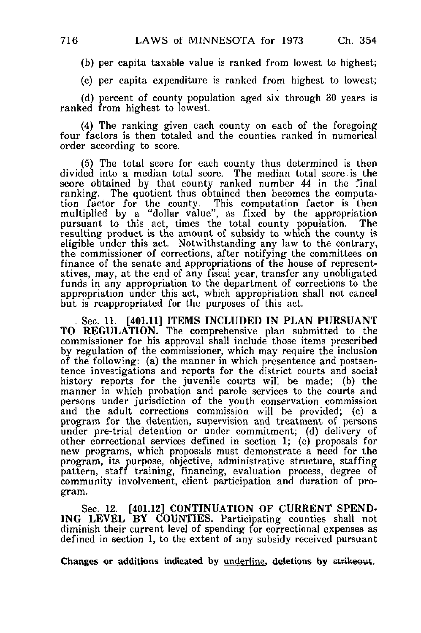(b) per capita taxable value is ranked from lowest to highest;

(c) per capita expenditure is ranked from highest to lowest;

(d) percent of county population aged six through 30 years is ranked from highest to lowest.

(4) The ranking given each county on each of the foregoing four factors is then totaled and the counties ranked in numerical order according to score.

(5) The total score for each county thus determined is then divided into a median total score. The median total score.is the score obtained by that county ranked number 44 in the final ranking. The quotient thus obtained then becomes the computation factor for the county. This computation factor is then multiplied by a "dollar value", as fixed by the appropriation pursuant to this act, times the total county population. The resulting product is the amount of subsidy to which the county is eligible under this act. Notwithstanding any law to the contrary, the commissioner of corrections, after notifying the committees on finance of the senate and appropriations of the house of representatives, may, at the end of any fiscal year, transfer any unobligated funds in any appropriation to the department of corrections to the appropriation under this act, which appropriation shall not cancel but is reappropriated for the purposes of this act.

Sec. 11. [401.11] ITEMS INCLUDED IN PLAN PURSUANT TO REGULATION. The comprehensive plan submitted to the commissioner for his approval shall include those items prescribed by regulation of the commissioner, which may require the inclusion of the following: (a) the manner in which presentence and postsentence investigations and reports for the district courts and social history reports for the juvenile courts will be made; (b) the manner in which probation and parole services to the courts and persons under jurisdiction of the youth conservation commission and the adult corrections commission will be provided; (c) a program for the detention, supervision and treatment of persons under pre-trial detention or under commitment; (d) delivery of other correctional services defined in section 1; (e) proposals for new programs, which proposals must demonstrate a need for the program, its purpose, objective, administrative structure, staffing pattern, staff training, financing, evaluation process, degree of community involvement, client participation and duration of program.

Sec. 12. [401.12] CONTINUATION OF CURRENT SPEND-ING LEVEL BY COUNTIES. Participating counties shall not diminish their current level of spending for correctional expenses as defined in section 1, to the extent of any subsidy received pursuant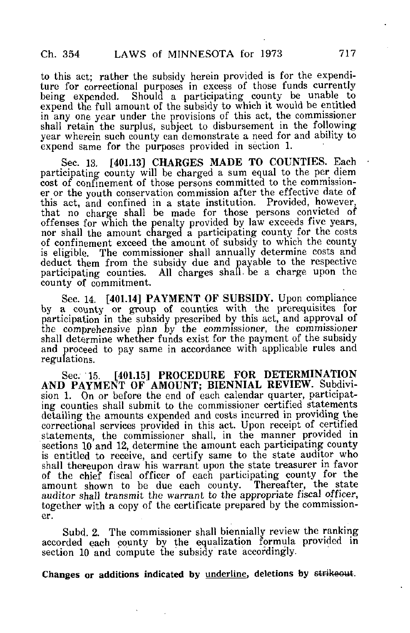to this act; rather the subsidy herein provided is for the expenditure for correctional purposes in excess of those funds currently being expended. Should a participating county be unable to expend the full amount of the subsidy to which it would be entitled in any one year under the provisions of this act, the commissioner shall retain the surplus, subject to disbursement in the following year wherein such county can demonstrate a need for and ability to expend same for the purposes provided in section 1.

Sec. 13, [401,13] CHARGES MADE TO COUNTIES. Each participating county will be charged a sum equal to the per diem cost of confinement of those persons committed to the commissioner or the youth conservation commission after the effective date of this act, and confined in a state institution. Provided, however, that no charge shall be made for those persons convicted of offenses for which the penalty provided by law exceeds five years, nor shall the amount charged a participating county for the costs of confinement exceed the amount of subsidy to which the county is eligible. The commissioner shall annually determine costs and deduct them from the subsidy due and payable to the respective participating counties. All charges shall-be a charge upon the county of commitment.

Sec. 14. [401.14] PAYMENT OF SUBSIDY. Upon compliance by a county or group of counties with the prerequisites for participation in the subsidy prescribed by this act, and approval of the comprehensive plan by the commissioner, the commissioner shall determine whether funds exist for the payment of the subsidy and proceed to pay same in accordance with applicable rules and regulations.

Sec. 15. [401.15] PROCEDURE FOR DETERMINATION AND PAYMENT OF AMOUNT; BIENNIAL REVIEW. Subdivision 1. On or before the end of each calendar quarter, participating counties shall submit to the commissioner certified statements detailing the amounts expended and costs incurred in providing the correctional services provided in this act. Upon receipt of certified statements, the commissioner shall, in the manner provided in sections 10 and 12, determine the amount each participating county is entitled to receive, and certify same to the state auditor who shall thereupon draw his warrant upon the state treasurer in favor of the chief fiscal officer of each participating county for the amount shown to be due each county. auditor shall transmit the warrant to the appropriate fiscal officer, together with a copy of the certificate prepared by the commissioner.

Subd. 2. The commissioner shall biennially review the ranking accorded each county by the equalization formula provided in section 10 and compute the subsidy rate accordingly.